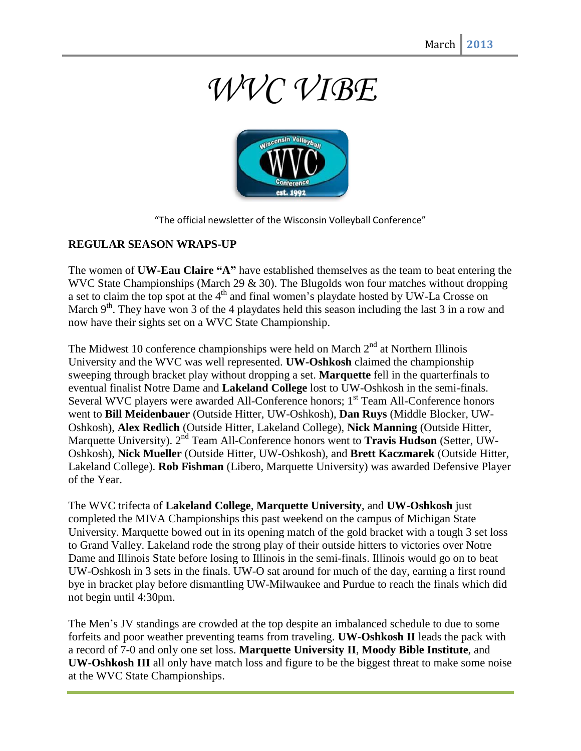## *WVC VIBE*



"The official newsletter of the Wisconsin Volleyball Conference"

## **REGULAR SEASON WRAPS-UP**

The women of **UW-Eau Claire "A"** have established themselves as the team to beat entering the WVC State Championships (March 29 & 30). The Blugolds won four matches without dropping a set to claim the top spot at the 4<sup>th</sup> and final women's playdate hosted by UW-La Crosse on March 9<sup>th</sup>. They have won 3 of the 4 playdates held this season including the last 3 in a row and now have their sights set on a WVC State Championship.

The Midwest 10 conference championships were held on March  $2<sup>nd</sup>$  at Northern Illinois University and the WVC was well represented. **UW-Oshkosh** claimed the championship sweeping through bracket play without dropping a set. **Marquette** fell in the quarterfinals to eventual finalist Notre Dame and **Lakeland College** lost to UW-Oshkosh in the semi-finals. Several WVC players were awarded All-Conference honors; 1<sup>st</sup> Team All-Conference honors went to **Bill Meidenbauer** (Outside Hitter, UW-Oshkosh), **Dan Ruys** (Middle Blocker, UW-Oshkosh), **Alex Redlich** (Outside Hitter, Lakeland College), **Nick Manning** (Outside Hitter, Marquette University). 2<sup>nd</sup> Team All-Conference honors went to **Travis Hudson** (Setter, UW-Oshkosh), **Nick Mueller** (Outside Hitter, UW-Oshkosh), and **Brett Kaczmarek** (Outside Hitter, Lakeland College). **Rob Fishman** (Libero, Marquette University) was awarded Defensive Player of the Year.

The WVC trifecta of **Lakeland College**, **Marquette University**, and **UW-Oshkosh** just completed the MIVA Championships this past weekend on the campus of Michigan State University. Marquette bowed out in its opening match of the gold bracket with a tough 3 set loss to Grand Valley. Lakeland rode the strong play of their outside hitters to victories over Notre Dame and Illinois State before losing to Illinois in the semi-finals. Illinois would go on to beat UW-Oshkosh in 3 sets in the finals. UW-O sat around for much of the day, earning a first round bye in bracket play before dismantling UW-Milwaukee and Purdue to reach the finals which did not begin until 4:30pm.

The Men's JV standings are crowded at the top despite an imbalanced schedule to due to some forfeits and poor weather preventing teams from traveling. **UW-Oshkosh II** leads the pack with a record of 7-0 and only one set loss. **Marquette University II**, **Moody Bible Institute**, and **UW-Oshkosh III** all only have match loss and figure to be the biggest threat to make some noise at the WVC State Championships.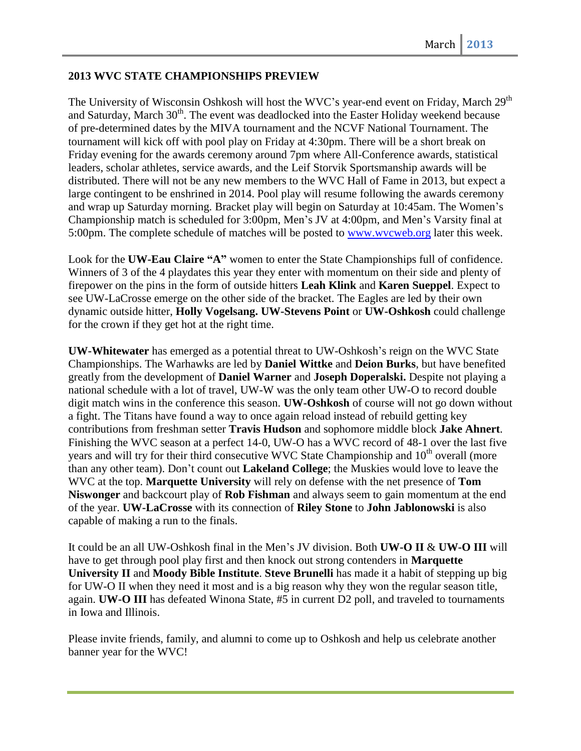## **2013 WVC STATE CHAMPIONSHIPS PREVIEW**

The University of Wisconsin Oshkosh will host the WVC's year-end event on Friday, March 29<sup>th</sup> and Saturday, March 30<sup>th</sup>. The event was deadlocked into the Easter Holiday weekend because of pre-determined dates by the MIVA tournament and the NCVF National Tournament. The tournament will kick off with pool play on Friday at 4:30pm. There will be a short break on Friday evening for the awards ceremony around 7pm where All-Conference awards, statistical leaders, scholar athletes, service awards, and the Leif Storvik Sportsmanship awards will be distributed. There will not be any new members to the WVC Hall of Fame in 2013, but expect a large contingent to be enshrined in 2014. Pool play will resume following the awards ceremony and wrap up Saturday morning. Bracket play will begin on Saturday at 10:45am. The Women's Championship match is scheduled for 3:00pm, Men's JV at 4:00pm, and Men's Varsity final at 5:00pm. The complete schedule of matches will be posted to [www.wvcweb.org](http://www.wvcweb.org/) later this week.

Look for the **UW-Eau Claire "A"** women to enter the State Championships full of confidence. Winners of 3 of the 4 playdates this year they enter with momentum on their side and plenty of firepower on the pins in the form of outside hitters **Leah Klink** and **Karen Sueppel**. Expect to see UW-LaCrosse emerge on the other side of the bracket. The Eagles are led by their own dynamic outside hitter, **Holly Vogelsang. UW-Stevens Point** or **UW-Oshkosh** could challenge for the crown if they get hot at the right time.

**UW-Whitewater** has emerged as a potential threat to UW-Oshkosh's reign on the WVC State Championships. The Warhawks are led by **Daniel Wittke** and **Deion Burks**, but have benefited greatly from the development of **Daniel Warner** and **Joseph Doperalski.** Despite not playing a national schedule with a lot of travel, UW-W was the only team other UW-O to record double digit match wins in the conference this season. **UW-Oshkosh** of course will not go down without a fight. The Titans have found a way to once again reload instead of rebuild getting key contributions from freshman setter **Travis Hudson** and sophomore middle block **Jake Ahnert**. Finishing the WVC season at a perfect 14-0, UW-O has a WVC record of 48-1 over the last five years and will try for their third consecutive WVC State Championship and 10<sup>th</sup> overall (more than any other team). Don't count out **Lakeland College**; the Muskies would love to leave the WVC at the top. **Marquette University** will rely on defense with the net presence of **Tom Niswonger** and backcourt play of **Rob Fishman** and always seem to gain momentum at the end of the year. **UW-LaCrosse** with its connection of **Riley Stone** to **John Jablonowski** is also capable of making a run to the finals.

It could be an all UW-Oshkosh final in the Men's JV division. Both **UW-O II** & **UW-O III** will have to get through pool play first and then knock out strong contenders in **Marquette University II** and **Moody Bible Institute**. **Steve Brunelli** has made it a habit of stepping up big for UW-O II when they need it most and is a big reason why they won the regular season title, again. **UW-O III** has defeated Winona State, #5 in current D2 poll, and traveled to tournaments in Iowa and Illinois.

Please invite friends, family, and alumni to come up to Oshkosh and help us celebrate another banner year for the WVC!